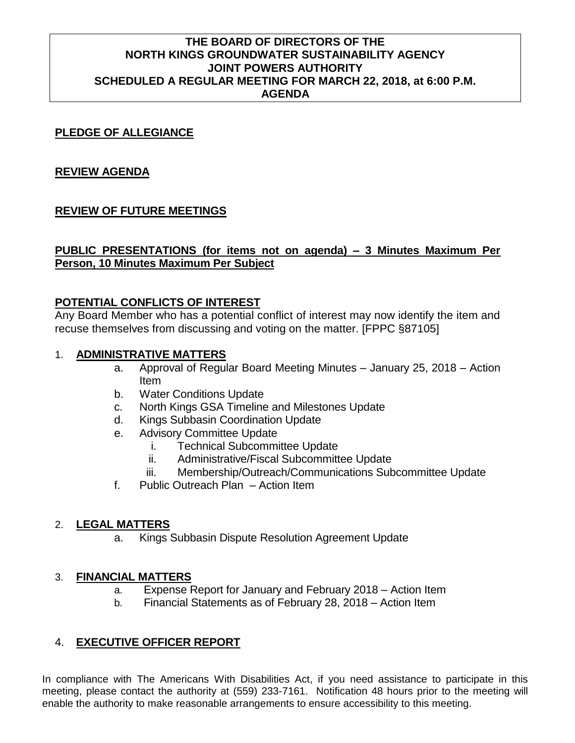# **THE BOARD OF DIRECTORS OF THE NORTH KINGS GROUNDWATER SUSTAINABILITY AGENCY JOINT POWERS AUTHORITY SCHEDULED A REGULAR MEETING FOR MARCH 22, 2018, at 6:00 P.M. AGENDA**

# **PLEDGE OF ALLEGIANCE**

# **REVIEW AGENDA**

# **REVIEW OF FUTURE MEETINGS**

# **PUBLIC PRESENTATIONS (for items not on agenda) – 3 Minutes Maximum Per Person, 10 Minutes Maximum Per Subject**

# **POTENTIAL CONFLICTS OF INTEREST**

Any Board Member who has a potential conflict of interest may now identify the item and recuse themselves from discussing and voting on the matter. [FPPC §87105]

#### 1. **ADMINISTRATIVE MATTERS**

- a. Approval of Regular Board Meeting Minutes January 25, 2018 Action Item
- b. Water Conditions Update
- c. North Kings GSA Timeline and Milestones Update
- d. Kings Subbasin Coordination Update
- e. Advisory Committee Update
	- i. Technical Subcommittee Update
	- ii. Administrative/Fiscal Subcommittee Update
	- iii. Membership/Outreach/Communications Subcommittee Update
- f. Public Outreach Plan Action Item

#### 2. **LEGAL MATTERS**

a. Kings Subbasin Dispute Resolution Agreement Update

#### 3. **FINANCIAL MATTERS**

- a. Expense Report for January and February 2018 Action Item
- b. Financial Statements as of February 28, 2018 Action Item

# 4. **EXECUTIVE OFFICER REPORT**

In compliance with The Americans With Disabilities Act, if you need assistance to participate in this meeting, please contact the authority at (559) 233-7161. Notification 48 hours prior to the meeting will enable the authority to make reasonable arrangements to ensure accessibility to this meeting.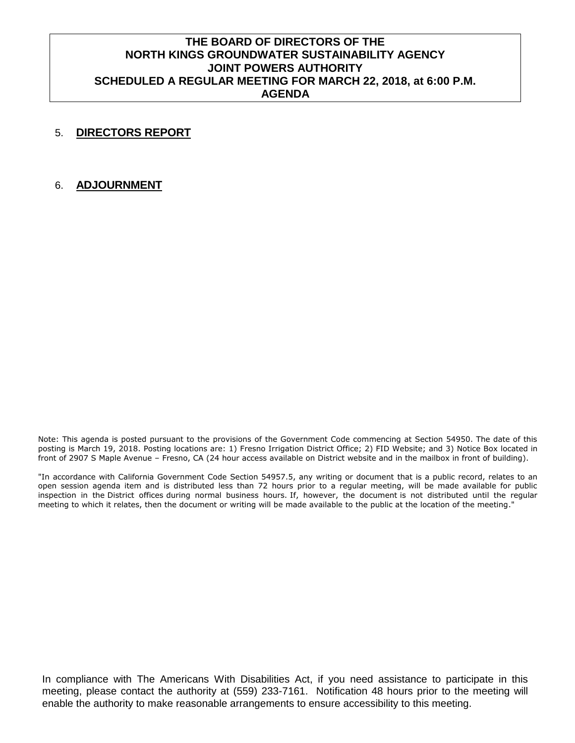# **THE BOARD OF DIRECTORS OF THE NORTH KINGS GROUNDWATER SUSTAINABILITY AGENCY JOINT POWERS AUTHORITY SCHEDULED A REGULAR MEETING FOR MARCH 22, 2018, at 6:00 P.M. AGENDA**

#### 5. **DIRECTORS REPORT**

#### 6. **ADJOURNMENT**

Note: This agenda is posted pursuant to the provisions of the Government Code commencing at Section 54950. The date of this posting is March 19, 2018. Posting locations are: 1) Fresno Irrigation District Office; 2) FID Website; and 3) Notice Box located in front of 2907 S Maple Avenue – Fresno, CA (24 hour access available on District website and in the mailbox in front of building).

"In accordance with California Government Code Section 54957.5, any writing or document that is a public record, relates to an open session agenda item and is distributed less than 72 hours prior to a regular meeting, will be made available for public inspection in the District offices during normal business hours. If, however, the document is not distributed until the regular meeting to which it relates, then the document or writing will be made available to the public at the location of the meeting."

In compliance with The Americans With Disabilities Act, if you need assistance to participate in this meeting, please contact the authority at (559) 233-7161. Notification 48 hours prior to the meeting will enable the authority to make reasonable arrangements to ensure accessibility to this meeting.